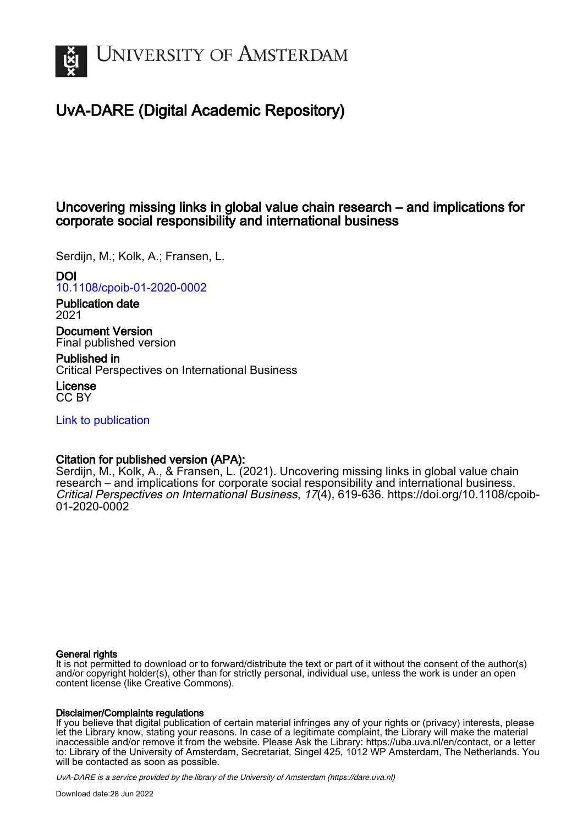

## UvA-DARE (Digital Academic Repository)

## Uncovering missing links in global value chain research – and implications for corporate social responsibility and international business

Serdijn, M.; Kolk, A.; Fransen, L.

DOI

[10.1108/cpoib-01-2020-0002](https://doi.org/10.1108/cpoib-01-2020-0002)

Publication date 2021

Document Version Final published version

Published in Critical Perspectives on International Business

License CC BY

[Link to publication](https://dare.uva.nl/personal/pure/en/publications/uncovering-missing-links-in-global-value-chain-research--and-implications-for-corporate-social-responsibility-and-international-business(540cc0af-d5e9-4577-94ad-1ba4f4479b53).html)

## Citation for published version (APA):

Serdijn, M., Kolk, A., & Fransen, L. (2021). Uncovering missing links in global value chain research – and implications for corporate social responsibility and international business. Critical Perspectives on International Business, 17(4), 619-636. [https://doi.org/10.1108/cpoib-](https://doi.org/10.1108/cpoib-01-2020-0002)[01-2020-0002](https://doi.org/10.1108/cpoib-01-2020-0002)

#### General rights

It is not permitted to download or to forward/distribute the text or part of it without the consent of the author(s) and/or copyright holder(s), other than for strictly personal, individual use, unless the work is under an open content license (like Creative Commons).

#### Disclaimer/Complaints regulations

If you believe that digital publication of certain material infringes any of your rights or (privacy) interests, please let the Library know, stating your reasons. In case of a legitimate complaint, the Library will make the material inaccessible and/or remove it from the website. Please Ask the Library: https://uba.uva.nl/en/contact, or a letter to: Library of the University of Amsterdam, Secretariat, Singel 425, 1012 WP Amsterdam, The Netherlands. You will be contacted as soon as possible.

UvA-DARE is a service provided by the library of the University of Amsterdam (http*s*://dare.uva.nl)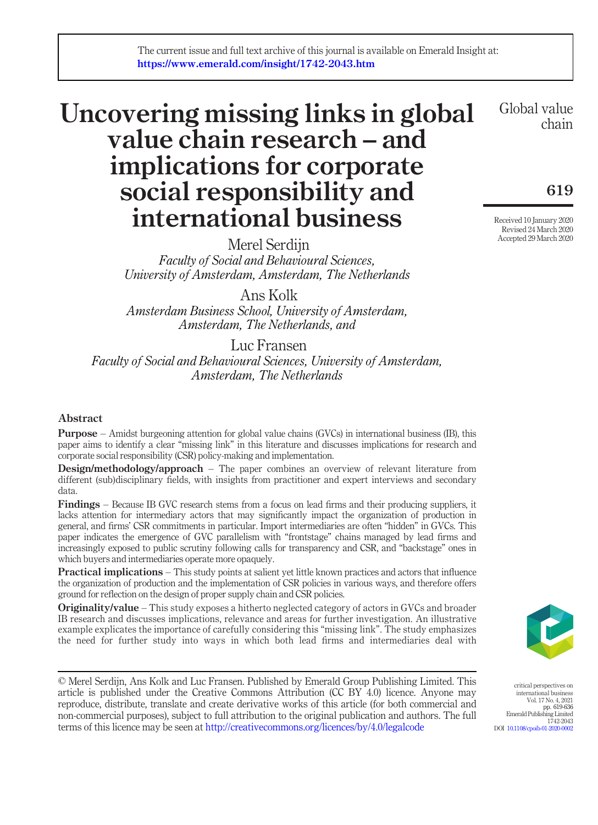# Uncovering missing links in global value chain research – and implications for corporate social responsibility and international business

Merel Serdijn Faculty of Social and Behavioural Sciences, University of Amsterdam, Amsterdam, The Netherlands

Ans Kolk

Amsterdam Business School, University of Amsterdam, Amsterdam, The Netherlands, and

### Luc Fransen

Faculty of Social and Behavioural Sciences, University of Amsterdam, Amsterdam, The Netherlands

#### Abstract

Purpose – Amidst burgeoning attention for global value chains (GVCs) in international business (IB), this paper aims to identify a clear "missing link" in this literature and discusses implications for research and corporate social responsibility (CSR) policy-making and implementation.

Design/methodology/approach – The paper combines an overview of relevant literature from different (sub)disciplinary fields, with insights from practitioner and expert interviews and secondary data.

Findings – Because IB GVC research stems from a focus on lead firms and their producing suppliers, it lacks attention for intermediary actors that may significantly impact the organization of production in general, and firms' CSR commitments in particular. Import intermediaries are often "hidden" in GVCs. This paper indicates the emergence of GVC parallelism with "frontstage" chains managed by lead firms and increasingly exposed to public scrutiny following calls for transparency and CSR, and "backstage" ones in which buyers and intermediaries operate more opaquely.

**Practical implications** – This study points at salient yet little known practices and actors that influence the organization of production and the implementation of CSR policies in various ways, and therefore offers ground for reflection on the design of proper supply chain and CSR policies.

**Originality/value** – This study exposes a hitherto neglected category of actors in GVCs and broader IB research and discusses implications, relevance and areas for further investigation. An illustrative example explicates the importance of carefully considering this "missing link". The study emphasizes the need for further study into ways in which both lead firms and intermediaries deal with

© Merel Serdijn, Ans Kolk and Luc Fransen. Published by Emerald Group Publishing Limited. This article is published under the Creative Commons Attribution (CC BY 4.0) licence. Anyone may reproduce, distribute, translate and create derivative works of this article (for both commercial and non-commercial purposes), subject to full attribution to the original publication and authors. The full terms of this licence may be seen at [http://creativecommons.org/licences/by/4.0/legalcode](http://dx.doi.org/10.1108/cpoib-01-2020-0002)

Global value chain

619

Received 10 January 2020 Revised 24 March 2020 Accepted 29 March 2020



critical perspectives on international business Vol. 17 No. 4, 2021 pp. 619-636 Emerald Publishing Limited 1742-2043 DOI [10.1108/cpoib-01-2020-0002](http://dx.doi.org/10.1108/cpoib-01-2020-0002)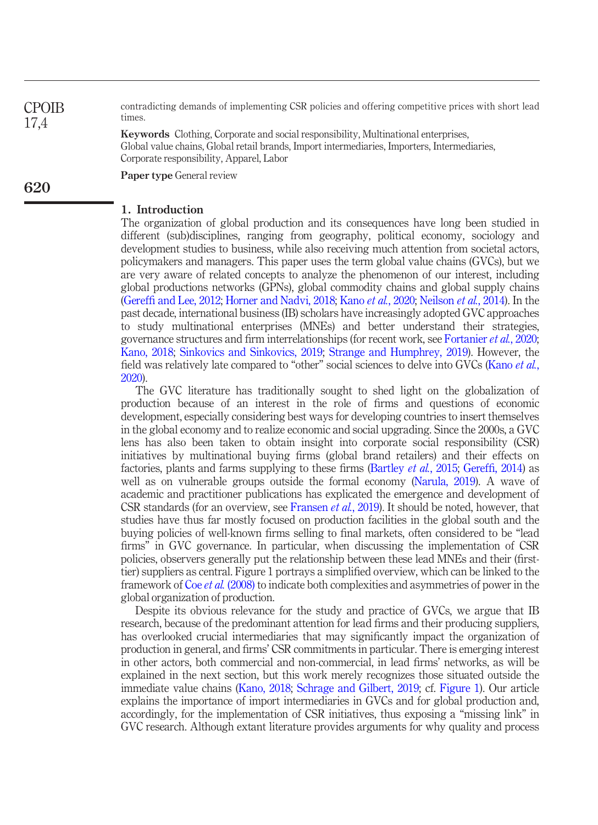contradicting demands of implementing CSR policies and offering competitive prices with short lead times.

Keywords Clothing, Corporate and social responsibility, Multinational enterprises, Global value chains, Global retail brands, Import intermediaries, Importers, Intermediaries, Corporate responsibility, Apparel, Labor

Paper type General review

#### 1. Introduction

The organization of global production and its consequences have long been studied in different (sub)disciplines, ranging from geography, political economy, sociology and development studies to business, while also receiving much attention from societal actors, policymakers and managers. This paper uses the term global value chains (GVCs), but we are very aware of related concepts to analyze the phenomenon of our interest, including global productions networks (GPNs), global commodity chains and global supply chains (Gereffi [and Lee, 2012](#page-16-0); [Horner and Nadvi, 2018](#page-16-1); Kano et al.[, 2020](#page-16-2); [Neilson](#page-17-0) et al., 2014). In the past decade, international business (IB) scholars have increasingly adopted GVC approaches to study multinational enterprises (MNEs) and better understand their strategies, governance structures and firm interrelationships (for recent work, see [Fortanier](#page-15-0) et al., 2020; [Kano, 2018;](#page-16-3) [Sinkovics and Sinkovics, 2019](#page-17-1); [Strange and Humphrey, 2019](#page-17-2)). However, the field was relatively late compared to "other" social sciences to delve into GVCs [\(Kano](#page-16-2) *et al.*, [2020](#page-16-2)).

The GVC literature has traditionally sought to shed light on the globalization of production because of an interest in the role of firms and questions of economic development, especially considering best ways for developing countries to insert themselves in the global economy and to realize economic and social upgrading. Since the 2000s, a GVC lens has also been taken to obtain insight into corporate social responsibility (CSR) initiatives by multinational buying firms (global brand retailers) and their effects on factories, plants and farms supplying to these firms ([Bartley](#page-14-0) *et al.*, 2015; Gereffi[, 2014](#page-15-1)) as well as on vulnerable groups outside the formal economy [\(Narula, 2019](#page-17-3)). A wave of academic and practitioner publications has explicated the emergence and development of CSR standards (for an overview, see [Fransen](#page-15-2) et al., 2019). It should be noted, however, that studies have thus far mostly focused on production facilities in the global south and the buying policies of well-known firms selling to final markets, often considered to be "lead firms" in GVC governance. In particular, when discussing the implementation of CSR policies, observers generally put the relationship between these lead MNEs and their (firsttier) suppliers as central. Figure 1 portrays a simplified overview, which can be linked to the framework of Coe *et al.* [\(2008\)](#page-15-3) to indicate both complexities and asymmetries of power in the global organization of production.

Despite its obvious relevance for the study and practice of GVCs, we argue that IB research, because of the predominant attention for lead firms and their producing suppliers, has overlooked crucial intermediaries that may significantly impact the organization of production in general, and firms' CSR commitments in particular. There is emerging interest in other actors, both commercial and non-commercial, in lead firms' networks, as will be explained in the next section, but this work merely recognizes those situated outside the immediate value chains ([Kano, 2018;](#page-16-3) [Schrage and Gilbert, 2019;](#page-17-4) cf. [Figure 1\)](#page-3-0). Our article explains the importance of import intermediaries in GVCs and for global production and, accordingly, for the implementation of CSR initiatives, thus exposing a "missing link" in GVC research. Although extant literature provides arguments for why quality and process

**CPOIB** 17,4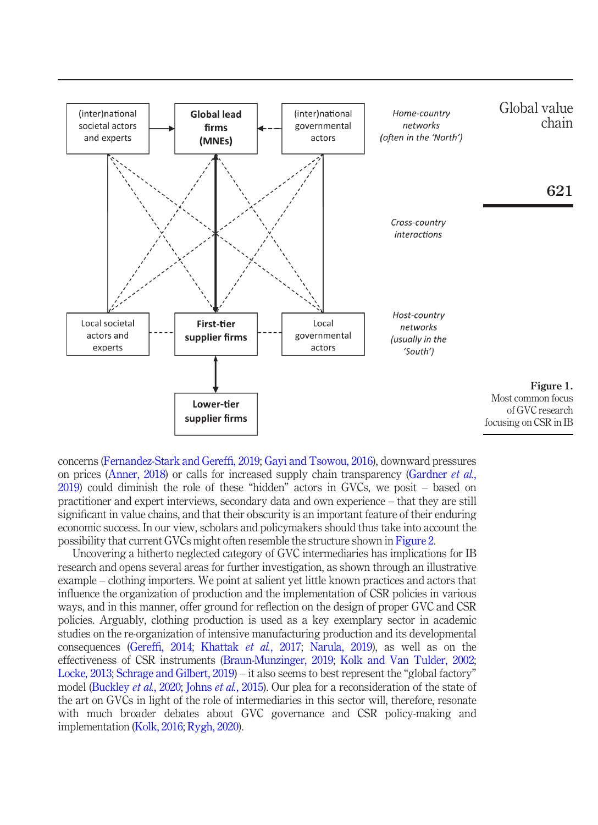

<span id="page-3-0"></span>concerns ([Fernandez-Stark and Geref](#page-15-4)fi, 2019; [Gayi and Tsowou, 2016\)](#page-15-5), downward pressures on prices [\(Anner, 2018](#page-14-1)) or calls for increased supply chain transparency ([Gardner](#page-15-6) et al., [2019\)](#page-15-6) could diminish the role of these "hidden" actors in GVCs, we posit – based on practitioner and expert interviews, secondary data and own experience – that they are still significant in value chains, and that their obscurity is an important feature of their enduring economic success. In our view, scholars and policymakers should thus take into account the possibility that current GVCs might often resemble the structure shown in [Figure 2.](#page-4-0)

Uncovering a hitherto neglected category of GVC intermediaries has implications for IB research and opens several areas for further investigation, as shown through an illustrative example – clothing importers. We point at salient yet little known practices and actors that influence the organization of production and the implementation of CSR policies in various ways, and in this manner, offer ground for reflection on the design of proper GVC and CSR policies. Arguably, clothing production is used as a key exemplary sector in academic studies on the re-organization of intensive manufacturing production and its developmental consequences (Gereffi[, 2014;](#page-15-1) [Khattak](#page-16-4) et al., 2017; [Narula, 2019](#page-17-3)), as well as on the effectiveness of CSR instruments [\(Braun-Munzinger, 2019](#page-15-7); [Kolk and Van Tulder, 2002](#page-16-5); [Locke, 2013](#page-16-6); [Schrage and Gilbert, 2019](#page-17-4)) – it also seems to best represent the "global factory" model ([Buckley](#page-15-8) *et al.*, 2020; Johns *et al.*[, 2015](#page-16-7)). Our plea for a reconsideration of the state of the art on GVCs in light of the role of intermediaries in this sector will, therefore, resonate with much broader debates about GVC governance and CSR policy-making and implementation [\(Kolk, 2016;](#page-16-8) [Rygh, 2020\)](#page-17-5).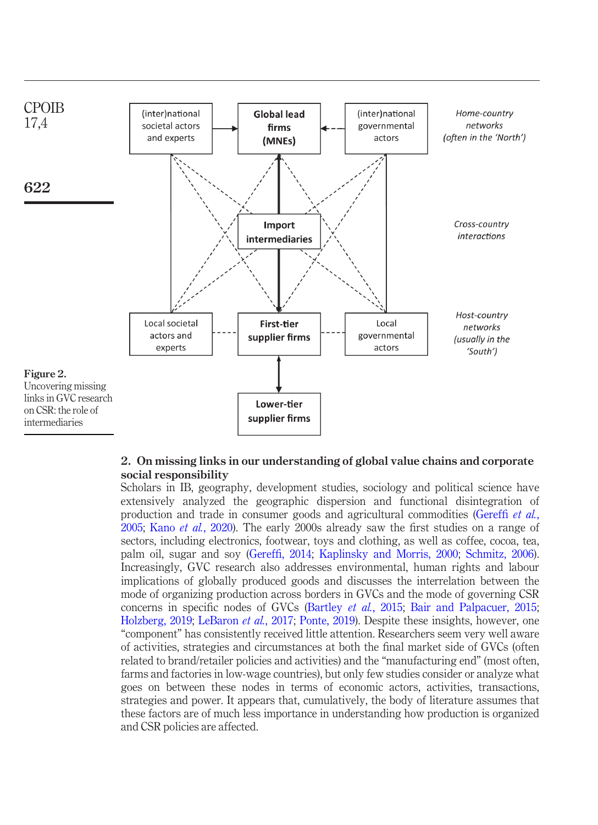

#### <span id="page-4-0"></span>2. On missing links in our understanding of global value chains and corporate social responsibility

Scholars in IB, geography, development studies, sociology and political science have extensively analyzed the geographic dispersion and functional disintegration of production and trade in consumer goods and agricultural commodities ([Geref](#page-15-9)fi et al., [2005;](#page-15-9) Kano et al.[, 2020\)](#page-16-2). The early 2000s already saw the first studies on a range of sectors, including electronics, footwear, toys and clothing, as well as coffee, cocoa, tea, palm oil, sugar and soy (Gereffi[, 2014](#page-15-1); [Kaplinsky and Morris, 2000](#page-16-9); [Schmitz, 2006](#page-17-6)). Increasingly, GVC research also addresses environmental, human rights and labour implications of globally produced goods and discusses the interrelation between the mode of organizing production across borders in GVCs and the mode of governing CSR concerns in specific nodes of GVCs ([Bartley](#page-14-0) et al., 2015; [Bair and Palpacuer, 2015](#page-14-2); [Holzberg, 2019;](#page-16-10) [LeBaron](#page-16-11) et al., 2017; [Ponte, 2019\)](#page-17-7). Despite these insights, however, one "component" has consistently received little attention. Researchers seem very well aware of activities, strategies and circumstances at both the final market side of GVCs (often related to brand/retailer policies and activities) and the "manufacturing end" (most often, farms and factories in low-wage countries), but only few studies consider or analyze what goes on between these nodes in terms of economic actors, activities, transactions, strategies and power. It appears that, cumulatively, the body of literature assumes that these factors are of much less importance in understanding how production is organized and CSR policies are affected.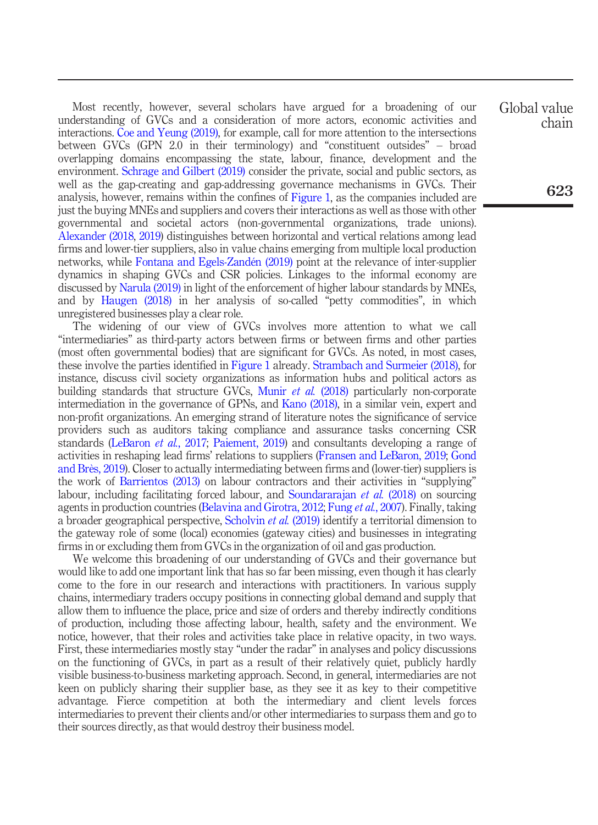Most recently, however, several scholars have argued for a broadening of our understanding of GVCs and a consideration of more actors, economic activities and interactions. [Coe and Yeung \(2019\),](#page-15-10) for example, call for more attention to the intersections between GVCs (GPN 2.0 in their terminology) and "constituent outsides" – broad overlapping domains encompassing the state, labour, finance, development and the environment. [Schrage and Gilbert \(2019\)](#page-17-4) consider the private, social and public sectors, as well as the gap-creating and gap-addressing governance mechanisms in GVCs. Their analysis, however, remains within the confines of [Figure 1,](#page-3-0) as the companies included are just the buying MNEs and suppliers and covers their interactions as well as those with other governmental and societal actors (non-governmental organizations, trade unions). [Alexander \(2018](#page-14-3), [2019](#page-14-4)) distinguishes between horizontal and vertical relations among lead firms and lower-tier suppliers, also in value chains emerging from multiple local production networks, while [Fontana and Egels-Zandén \(2019\)](#page-15-11) point at the relevance of inter-supplier dynamics in shaping GVCs and CSR policies. Linkages to the informal economy are discussed by [Narula \(2019\)](#page-17-3) in light of the enforcement of higher labour standards by MNEs, and by [Haugen \(2018\)](#page-16-12) in her analysis of so-called "petty commodities", in which unregistered businesses play a clear role.

The widening of our view of GVCs involves more attention to what we call "intermediaries" as third-party actors between firms or between firms and other parties (most often governmental bodies) that are significant for GVCs. As noted, in most cases, these involve the parties identified in [Figure 1](#page-3-0) already. [Strambach and Surmeier \(2018\),](#page-17-8) for instance, discuss civil society organizations as information hubs and political actors as building standards that structure GVCs, [Munir](#page-17-9) *et al.* (2018) particularly non-corporate intermediation in the governance of GPNs, and [Kano \(2018\)](#page-16-3), in a similar vein, expert and non-profit organizations. An emerging strand of literature notes the significance of service providers such as auditors taking compliance and assurance tasks concerning CSR standards ([LeBaron](#page-16-11) et al., 2017; [Paiement, 2019\)](#page-17-10) and consultants developing a range of activities in reshaping lead firms' relations to suppliers [\(Fransen and LeBaron, 2019;](#page-15-12) [Gond](#page-16-13) [and Brès, 2019](#page-16-13)). Closer to actually intermediating between firms and (lower-tier) suppliers is the work of [Barrientos \(2013\)](#page-14-5) on labour contractors and their activities in "supplying" labour, including facilitating forced labour, and [Soundararajan](#page-17-11) et al. (2018) on sourcing agents in production countries [\(Belavina and Girotra, 2012;](#page-14-6) Fung et al.[, 2007](#page-15-13)). Finally, taking a broader geographical perspective, [Scholvin](#page-17-12) et al. (2019) identify a territorial dimension to the gateway role of some (local) economies (gateway cities) and businesses in integrating firms in or excluding them from GVCs in the organization of oil and gas production.

We welcome this broadening of our understanding of GVCs and their governance but would like to add one important link that has so far been missing, even though it has clearly come to the fore in our research and interactions with practitioners. In various supply chains, intermediary traders occupy positions in connecting global demand and supply that allow them to influence the place, price and size of orders and thereby indirectly conditions of production, including those affecting labour, health, safety and the environment. We notice, however, that their roles and activities take place in relative opacity, in two ways. First, these intermediaries mostly stay "under the radar" in analyses and policy discussions on the functioning of GVCs, in part as a result of their relatively quiet, publicly hardly visible business-to-business marketing approach. Second, in general, intermediaries are not keen on publicly sharing their supplier base, as they see it as key to their competitive advantage. Fierce competition at both the intermediary and client levels forces intermediaries to prevent their clients and/or other intermediaries to surpass them and go to their sources directly, as that would destroy their business model.

Global value chain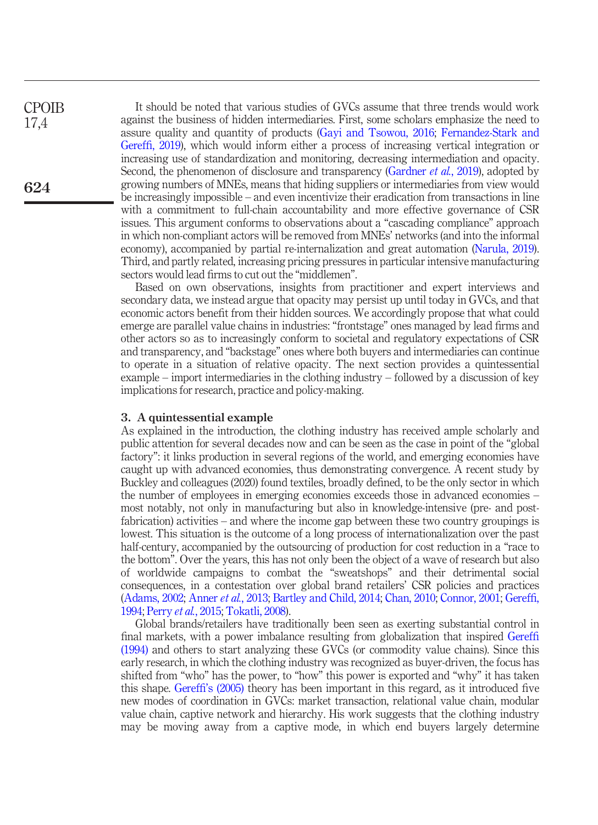It should be noted that various studies of GVCs assume that three trends would work against the business of hidden intermediaries. First, some scholars emphasize the need to assure quality and quantity of products [\(Gayi and Tsowou, 2016](#page-15-5); [Fernandez-Stark and](#page-15-4) Gereffi[, 2019](#page-15-4)), which would inform either a process of increasing vertical integration or increasing use of standardization and monitoring, decreasing intermediation and opacity. Second, the phenomenon of disclosure and transparency [\(Gardner](#page-15-6) *et al.*, 2019), adopted by growing numbers of MNEs, means that hiding suppliers or intermediaries from view would be increasingly impossible – and even incentivize their eradication from transactions in line with a commitment to full-chain accountability and more effective governance of CSR issues. This argument conforms to observations about a "cascading compliance" approach in which non-compliant actors will be removed from MNEs' networks (and into the informal economy), accompanied by partial re-internalization and great automation ([Narula, 2019\)](#page-17-3). Third, and partly related, increasing pricing pressures in particular intensive manufacturing sectors would lead firms to cut out the "middlemen". CPOIB 17,4 624

> Based on own observations, insights from practitioner and expert interviews and secondary data, we instead argue that opacity may persist up until today in GVCs, and that economic actors benefit from their hidden sources. We accordingly propose that what could emerge are parallel value chains in industries: "frontstage" ones managed by lead firms and other actors so as to increasingly conform to societal and regulatory expectations of CSR and transparency, and "backstage" ones where both buyers and intermediaries can continue to operate in a situation of relative opacity. The next section provides a quintessential example – import intermediaries in the clothing industry – followed by a discussion of key implications for research, practice and policy-making.

#### 3. A quintessential example

As explained in the introduction, the clothing industry has received ample scholarly and public attention for several decades now and can be seen as the case in point of the "global factory": it links production in several regions of the world, and emerging economies have caught up with advanced economies, thus demonstrating convergence. A recent study by Buckley and colleagues (2020) found textiles, broadly defined, to be the only sector in which the number of employees in emerging economies exceeds those in advanced economies – most notably, not only in manufacturing but also in knowledge-intensive (pre- and postfabrication) activities – and where the income gap between these two country groupings is lowest. This situation is the outcome of a long process of internationalization over the past half-century, accompanied by the outsourcing of production for cost reduction in a "race to the bottom". Over the years, this has not only been the object of a wave of research but also of worldwide campaigns to combat the "sweatshops" and their detrimental social consequences, in a contestation over global brand retailers' CSR policies and practices [\(Adams, 2002](#page-14-7); [Anner](#page-14-8) et al., 2013; [Bartley and Child, 2014;](#page-14-9) [Chan, 2010](#page-15-14); [Connor, 2001;](#page-15-15) [Geref](#page-15-16)fi, [1994](#page-15-16); Perry et al.[, 2015;](#page-17-13) [Tokatli, 2008\)](#page-18-0).

Global brands/retailers have traditionally been seen as exerting substantial control in final markets, with a power imbalance resulting from globalization that inspired [Geref](#page-15-16)fi [\(1994\)](#page-15-16) and others to start analyzing these GVCs (or commodity value chains). Since this early research, in which the clothing industry was recognized as buyer-driven, the focus has shifted from "who" has the power, to "how" this power is exported and "why" it has taken this shape. Gereffi'[s \(2005\)](#page-15-17) theory has been important in this regard, as it introduced five new modes of coordination in GVCs: market transaction, relational value chain, modular value chain, captive network and hierarchy. His work suggests that the clothing industry may be moving away from a captive mode, in which end buyers largely determine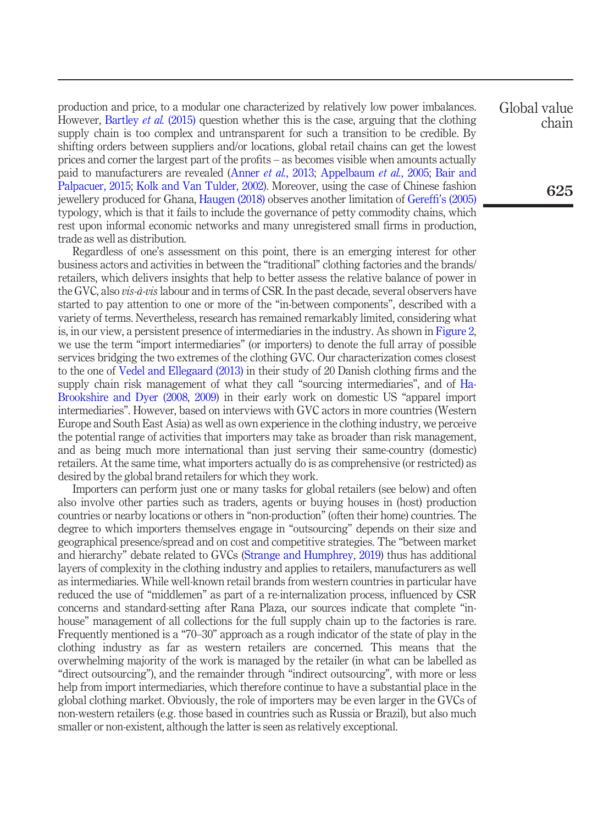production and price, to a modular one characterized by relatively low power imbalances. However, [Bartley](#page-14-0) *et al.* (2015) question whether this is the case, arguing that the clothing supply chain is too complex and untransparent for such a transition to be credible. By shifting orders between suppliers and/or locations, global retail chains can get the lowest prices and corner the largest part of the profits – as becomes visible when amounts actually paid to manufacturers are revealed [\(Anner](#page-14-8) et al., 2013; [Appelbaum](#page-14-10) et al., 2005; [Bair and](#page-14-2) [Palpacuer, 2015;](#page-14-2) [Kolk and Van Tulder, 2002](#page-16-5)). Moreover, using the case of Chinese fashion jewellery produced for Ghana, [Haugen \(2018\)](#page-16-12) observes another limitation of Gereffi'[s \(2005\)](#page-15-17) typology, which is that it fails to include the governance of petty commodity chains, which rest upon informal economic networks and many unregistered small firms in production, trade as well as distribution.

Regardless of one's assessment on this point, there is an emerging interest for other business actors and activities in between the "traditional" clothing factories and the brands/ retailers, which delivers insights that help to better assess the relative balance of power in the GVC, also *vis-à-vis* labour and in terms of CSR. In the past decade, several observers have started to pay attention to one or more of the "in-between components", described with a variety of terms. Nevertheless, research has remained remarkably limited, considering what is, in our view, a persistent presence of intermediaries in the industry. As shown in [Figure 2](#page-4-0), we use the term "import intermediaries" (or importers) to denote the full array of possible services bridging the two extremes of the clothing GVC. Our characterization comes closest to the one of [Vedel and Ellegaard \(2013\)](#page-18-1) in their study of 20 Danish clothing firms and the supply chain risk management of what they call "sourcing intermediaries", and of [Ha-](#page-16-14)[Brookshire and Dyer \(2008,](#page-16-14) [2009](#page-16-15)) in their early work on domestic US "apparel import intermediaries". However, based on interviews with GVC actors in more countries (Western Europe and South East Asia) as well as own experience in the clothing industry, we perceive the potential range of activities that importers may take as broader than risk management, and as being much more international than just serving their same-country (domestic) retailers. At the same time, what importers actually do is as comprehensive (or restricted) as desired by the global brand retailers for which they work.

Importers can perform just one or many tasks for global retailers (see below) and often also involve other parties such as traders, agents or buying houses in (host) production countries or nearby locations or others in "non-production" (often their home) countries. The degree to which importers themselves engage in "outsourcing" depends on their size and geographical presence/spread and on cost and competitive strategies. The "between market and hierarchy" debate related to GVCs ([Strange and Humphrey, 2019](#page-17-2)) thus has additional layers of complexity in the clothing industry and applies to retailers, manufacturers as well as intermediaries. While well-known retail brands from western countries in particular have reduced the use of "middlemen" as part of a re-internalization process, influenced by CSR concerns and standard-setting after Rana Plaza, our sources indicate that complete "inhouse" management of all collections for the full supply chain up to the factories is rare. Frequently mentioned is a "70–30" approach as a rough indicator of the state of play in the clothing industry as far as western retailers are concerned. This means that the overwhelming majority of the work is managed by the retailer (in what can be labelled as "direct outsourcing"), and the remainder through "indirect outsourcing", with more or less help from import intermediaries, which therefore continue to have a substantial place in the global clothing market. Obviously, the role of importers may be even larger in the GVCs of non-western retailers (e.g. those based in countries such as Russia or Brazil), but also much smaller or non-existent, although the latter is seen as relatively exceptional.

Global value chain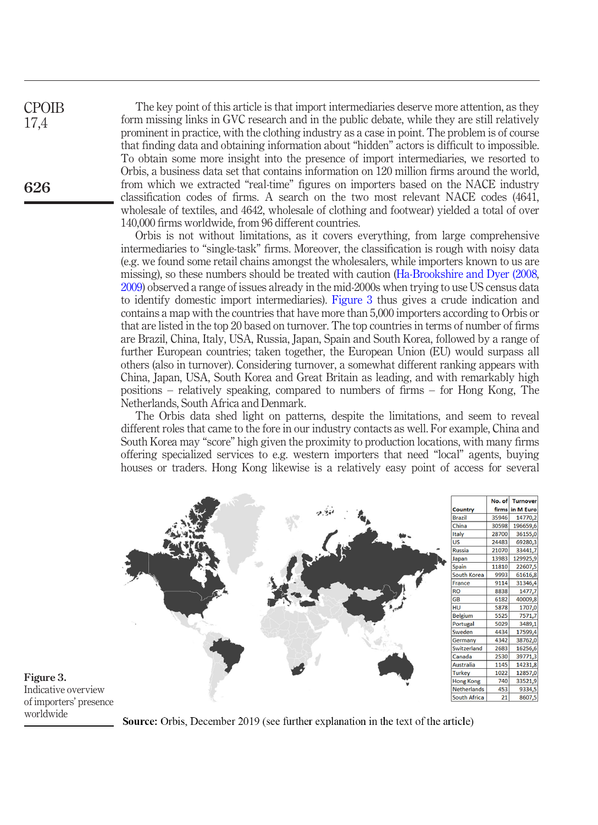The key point of this article is that import intermediaries deserve more attention, as they form missing links in GVC research and in the public debate, while they are still relatively prominent in practice, with the clothing industry as a case in point. The problem is of course that finding data and obtaining information about "hidden" actors is difficult to impossible. To obtain some more insight into the presence of import intermediaries, we resorted to Orbis, a business data set that contains information on 120 million firms around the world, from which we extracted "real-time" figures on importers based on the NACE industry classification codes of firms. A search on the two most relevant NACE codes (4641, wholesale of textiles, and 4642, wholesale of clothing and footwear) yielded a total of over 140,000 firms worldwide, from 96 different countries.

Orbis is not without limitations, as it covers everything, from large comprehensive intermediaries to "single-task" firms. Moreover, the classification is rough with noisy data (e.g. we found some retail chains amongst the wholesalers, while importers known to us are missing), so these numbers should be treated with caution [\(Ha-Brookshire and Dyer \(2008,](#page-16-14) [2009](#page-16-15)) observed a range of issues already in the mid-2000s when trying to use US census data to identify domestic import intermediaries). [Figure 3](#page-8-0) thus gives a crude indication and contains a map with the countries that have more than 5,000 importers according to Orbis or that are listed in the top 20 based on turnover. The top countries in terms of number of firms are Brazil, China, Italy, USA, Russia, Japan, Spain and South Korea, followed by a range of further European countries; taken together, the European Union (EU) would surpass all others (also in turnover). Considering turnover, a somewhat different ranking appears with China, Japan, USA, South Korea and Great Britain as leading, and with remarkably high positions – relatively speaking, compared to numbers of firms – for Hong Kong, The Netherlands, South Africa and Denmark.

The Orbis data shed light on patterns, despite the limitations, and seem to reveal different roles that came to the fore in our industry contacts as well. For example, China and South Korea may "score" high given the proximity to production locations, with many firms offering specialized services to e.g. western importers that need "local" agents, buying houses or traders. Hong Kong likewise is a relatively easy point of access for several



<span id="page-8-0"></span>Figure 3. Indicative overview of importers' presence worldwide

**Source:** Orbis, December 2019 (see further explanation in the text of the article)

CPOIB 17,4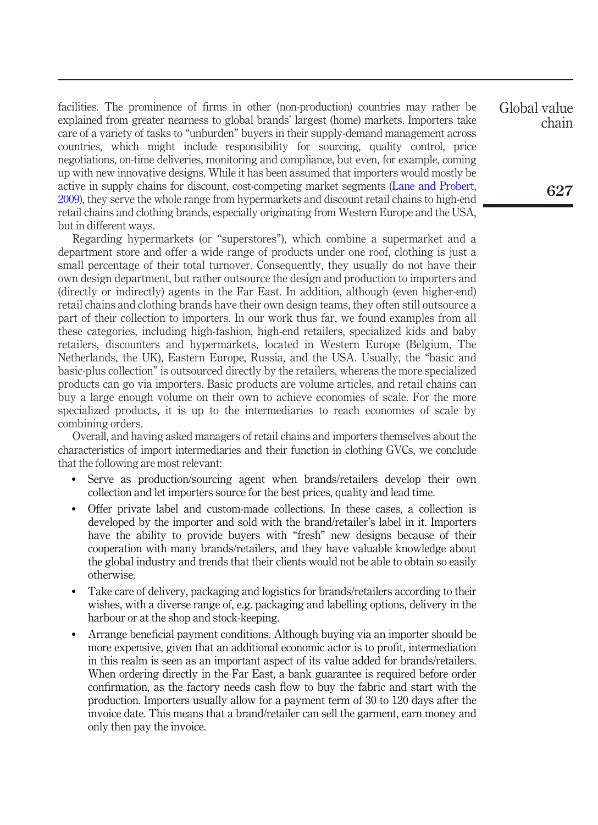facilities. The prominence of firms in other (non-production) countries may rather be explained from greater nearness to global brands' largest (home) markets. Importers take care of a variety of tasks to "unburden" buyers in their supply-demand management across countries, which might include responsibility for sourcing, quality control, price negotiations, on-time deliveries, monitoring and compliance, but even, for example, coming up with new innovative designs. While it has been assumed that importers would mostly be active in supply chains for discount, cost-competing market segments ([Lane and Probert,](#page-16-16) [2009\)](#page-16-16), they serve the whole range from hypermarkets and discount retail chains to high-end retail chains and clothing brands, especially originating from Western Europe and the USA, but in different ways.

Regarding hypermarkets (or "superstores"), which combine a supermarket and a department store and offer a wide range of products under one roof, clothing is just a small percentage of their total turnover. Consequently, they usually do not have their own design department, but rather outsource the design and production to importers and (directly or indirectly) agents in the Far East. In addition, although (even higher-end) retail chains and clothing brands have their own design teams, they often still outsource a part of their collection to importers. In our work thus far, we found examples from all these categories, including high-fashion, high-end retailers, specialized kids and baby retailers, discounters and hypermarkets, located in Western Europe (Belgium, The Netherlands, the UK), Eastern Europe, Russia, and the USA. Usually, the "basic and basic-plus collection" is outsourced directly by the retailers, whereas the more specialized products can go via importers. Basic products are volume articles, and retail chains can buy a large enough volume on their own to achieve economies of scale. For the more specialized products, it is up to the intermediaries to reach economies of scale by combining orders.

Overall, and having asked managers of retail chains and importers themselves about the characteristics of import intermediaries and their function in clothing GVCs, we conclude that the following are most relevant:

- Serve as production/sourcing agent when brands/retailers develop their own collection and let importers source for the best prices, quality and lead time.
- Offer private label and custom-made collections. In these cases, a collection is developed by the importer and sold with the brand/retailer's label in it. Importers have the ability to provide buyers with "fresh" new designs because of their cooperation with many brands/retailers, and they have valuable knowledge about the global industry and trends that their clients would not be able to obtain so easily otherwise.
- Take care of delivery, packaging and logistics for brands/retailers according to their wishes, with a diverse range of, e.g. packaging and labelling options, delivery in the harbour or at the shop and stock-keeping.
- Arrange beneficial payment conditions. Although buying via an importer should be more expensive, given that an additional economic actor is to profit, intermediation in this realm is seen as an important aspect of its value added for brands/retailers. When ordering directly in the Far East, a bank guarantee is required before order confirmation, as the factory needs cash flow to buy the fabric and start with the production. Importers usually allow for a payment term of 30 to 120 days after the invoice date. This means that a brand/retailer can sell the garment, earn money and only then pay the invoice.

Global value chain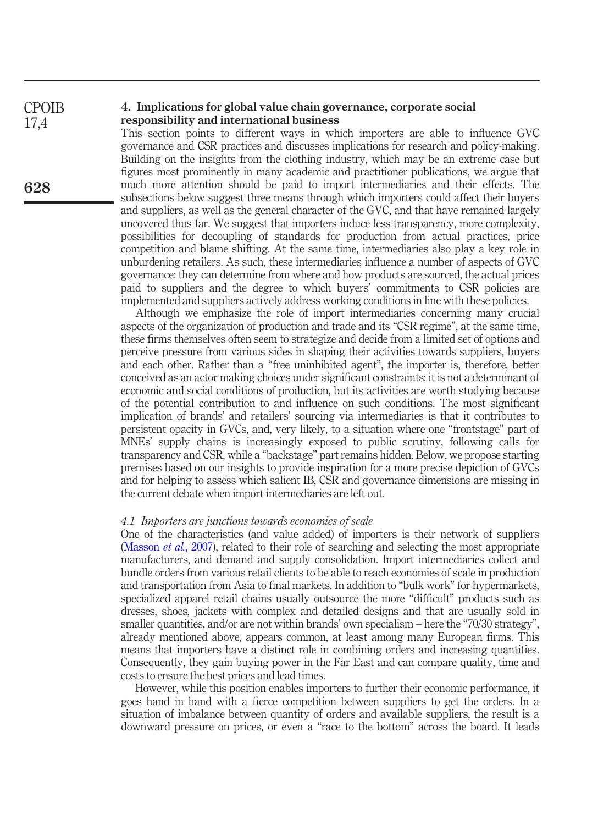#### 4. Implications for global value chain governance, corporate social responsibility and international business

This section points to different ways in which importers are able to influence GVC governance and CSR practices and discusses implications for research and policy-making. Building on the insights from the clothing industry, which may be an extreme case but figures most prominently in many academic and practitioner publications, we argue that much more attention should be paid to import intermediaries and their effects. The subsections below suggest three means through which importers could affect their buyers and suppliers, as well as the general character of the GVC, and that have remained largely uncovered thus far. We suggest that importers induce less transparency, more complexity, possibilities for decoupling of standards for production from actual practices, price competition and blame shifting. At the same time, intermediaries also play a key role in unburdening retailers. As such, these intermediaries influence a number of aspects of GVC governance: they can determine from where and how products are sourced, the actual prices paid to suppliers and the degree to which buyers' commitments to CSR policies are implemented and suppliers actively address working conditions in line with these policies.

Although we emphasize the role of import intermediaries concerning many crucial aspects of the organization of production and trade and its "CSR regime", at the same time, these firms themselves often seem to strategize and decide from a limited set of options and perceive pressure from various sides in shaping their activities towards suppliers, buyers and each other. Rather than a "free uninhibited agent", the importer is, therefore, better conceived as an actor making choices under significant constraints: it is not a determinant of economic and social conditions of production, but its activities are worth studying because of the potential contribution to and influence on such conditions. The most significant implication of brands' and retailers' sourcing via intermediaries is that it contributes to persistent opacity in GVCs, and, very likely, to a situation where one "frontstage" part of MNEs' supply chains is increasingly exposed to public scrutiny, following calls for transparency and CSR, while a "backstage" part remains hidden. Below, we propose starting premises based on our insights to provide inspiration for a more precise depiction of GVCs and for helping to assess which salient IB, CSR and governance dimensions are missing in the current debate when import intermediaries are left out.

#### 4.1 Importers are junctions towards economies of scale

One of the characteristics (and value added) of importers is their network of suppliers [\(Masson](#page-16-17) *et al.*, 2007), related to their role of searching and selecting the most appropriate manufacturers, and demand and supply consolidation. Import intermediaries collect and bundle orders from various retail clients to be able to reach economies of scale in production and transportation from Asia to final markets. In addition to "bulk work" for hypermarkets, specialized apparel retail chains usually outsource the more "difficult" products such as dresses, shoes, jackets with complex and detailed designs and that are usually sold in smaller quantities, and/or are not within brands' own specialism – here the "70/30 strategy", already mentioned above, appears common, at least among many European firms. This means that importers have a distinct role in combining orders and increasing quantities. Consequently, they gain buying power in the Far East and can compare quality, time and costs to ensure the best prices and lead times.

However, while this position enables importers to further their economic performance, it goes hand in hand with a fierce competition between suppliers to get the orders. In a situation of imbalance between quantity of orders and available suppliers, the result is a downward pressure on prices, or even a "race to the bottom" across the board. It leads

**CPOIB** 17,4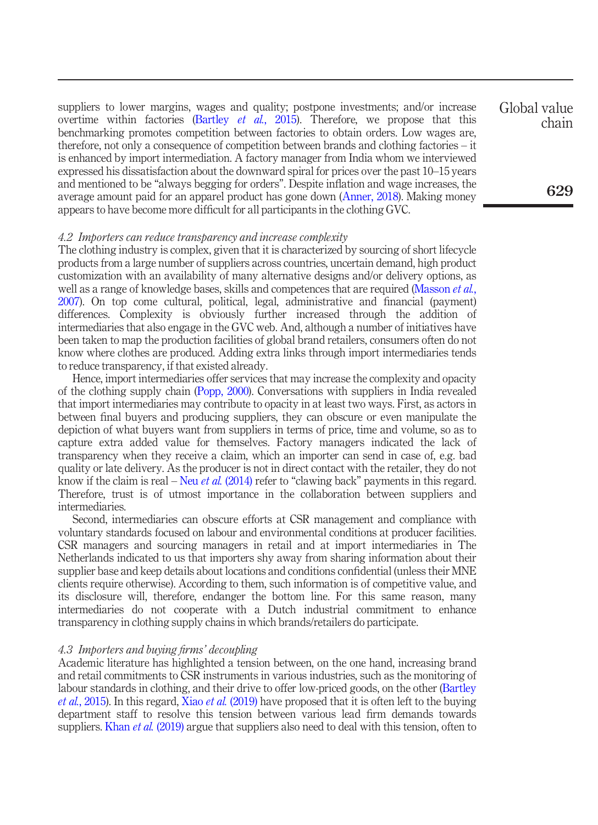suppliers to lower margins, wages and quality; postpone investments; and/or increase overtime within factories [\(Bartley](#page-14-0) *et al.*, 2015). Therefore, we propose that this benchmarking promotes competition between factories to obtain orders. Low wages are, therefore, not only a consequence of competition between brands and clothing factories – it is enhanced by import intermediation. A factory manager from India whom we interviewed expressed his dissatisfaction about the downward spiral for prices over the past 10–15 years and mentioned to be "always begging for orders". Despite inflation and wage increases, the average amount paid for an apparel product has gone down [\(Anner, 2018\)](#page-14-1). Making money appears to have become more difficult for all participants in the clothing GVC.

#### 4.2 Importers can reduce transparency and increase complexity

The clothing industry is complex, given that it is characterized by sourcing of short lifecycle products from a large number of suppliers across countries, uncertain demand, high product customization with an availability of many alternative designs and/or delivery options, as well as a range of knowledge bases, skills and competences that are required [\(Masson](#page-16-17) *et al.*, [2007\)](#page-16-17). On top come cultural, political, legal, administrative and financial (payment) differences. Complexity is obviously further increased through the addition of intermediaries that also engage in the GVC web. And, although a number of initiatives have been taken to map the production facilities of global brand retailers, consumers often do not know where clothes are produced. Adding extra links through import intermediaries tends to reduce transparency, if that existed already.

Hence, import intermediaries offer services that may increase the complexity and opacity of the clothing supply chain ([Popp, 2000](#page-17-14)). Conversations with suppliers in India revealed that import intermediaries may contribute to opacity in at least two ways. First, as actors in between final buyers and producing suppliers, they can obscure or even manipulate the depiction of what buyers want from suppliers in terms of price, time and volume, so as to capture extra added value for themselves. Factory managers indicated the lack of transparency when they receive a claim, which an importer can send in case of, e.g. bad quality or late delivery. As the producer is not in direct contact with the retailer, they do not know if the claim is real – Neu *et al.* [\(2014\)](#page-17-15) refer to "clawing back" payments in this regard. Therefore, trust is of utmost importance in the collaboration between suppliers and intermediaries.

Second, intermediaries can obscure efforts at CSR management and compliance with voluntary standards focused on labour and environmental conditions at producer facilities. CSR managers and sourcing managers in retail and at import intermediaries in The Netherlands indicated to us that importers shy away from sharing information about their supplier base and keep details about locations and conditions confidential (unless their MNE clients require otherwise). According to them, such information is of competitive value, and its disclosure will, therefore, endanger the bottom line. For this same reason, many intermediaries do not cooperate with a Dutch industrial commitment to enhance transparency in clothing supply chains in which brands/retailers do participate.

#### 4.3 Importers and buying firms' decoupling

Academic literature has highlighted a tension between, on the one hand, increasing brand and retail commitments to CSR instruments in various industries, such as the monitoring of labour standards in clothing, and their drive to offer low-priced goods, on the other [\(Bartley](#page-14-0) et al.[, 2015](#page-14-0)). In this regard, Xiao et al. [\(2019\)](#page-18-2) have proposed that it is often left to the buying department staff to resolve this tension between various lead firm demands towards suppliers. Khan *et al.* [\(2019\)](#page-16-18) argue that suppliers also need to deal with this tension, often to

Global value chain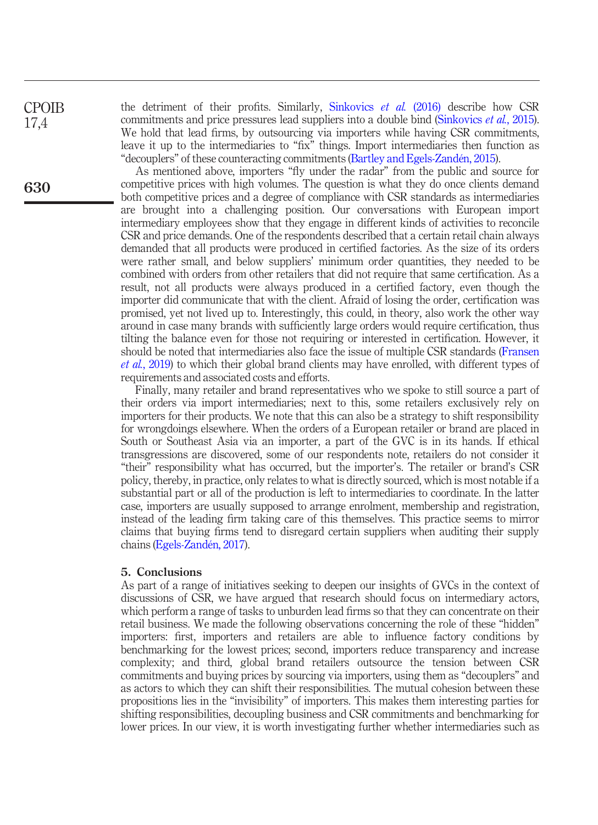**CPOIB** 17,4

630

the detriment of their profits. Similarly, [Sinkovics](#page-17-16) et al. (2016) describe how CSR commitments and price pressures lead suppliers into a double bind [\(Sinkovics](#page-17-17) *et al.*, 2015). We hold that lead firms, by outsourcing via importers while having CSR commitments, leave it up to the intermediaries to "fix" things. Import intermediaries then function as "decouplers" of these counteracting commitments ([Bartley and Egels-Zandén, 2015\)](#page-14-11).

As mentioned above, importers "fly under the radar" from the public and source for competitive prices with high volumes. The question is what they do once clients demand both competitive prices and a degree of compliance with CSR standards as intermediaries are brought into a challenging position. Our conversations with European import intermediary employees show that they engage in different kinds of activities to reconcile CSR and price demands. One of the respondents described that a certain retail chain always demanded that all products were produced in certified factories. As the size of its orders were rather small, and below suppliers' minimum order quantities, they needed to be combined with orders from other retailers that did not require that same certification. As a result, not all products were always produced in a certified factory, even though the importer did communicate that with the client. Afraid of losing the order, certification was promised, yet not lived up to. Interestingly, this could, in theory, also work the other way around in case many brands with sufficiently large orders would require certification, thus tilting the balance even for those not requiring or interested in certification. However, it should be noted that intermediaries also face the issue of multiple CSR standards [\(Fransen](#page-15-2) et al.[, 2019](#page-15-2)) to which their global brand clients may have enrolled, with different types of requirements and associated costs and efforts.

Finally, many retailer and brand representatives who we spoke to still source a part of their orders via import intermediaries; next to this, some retailers exclusively rely on importers for their products. We note that this can also be a strategy to shift responsibility for wrongdoings elsewhere. When the orders of a European retailer or brand are placed in South or Southeast Asia via an importer, a part of the GVC is in its hands. If ethical transgressions are discovered, some of our respondents note, retailers do not consider it "their" responsibility what has occurred, but the importer's. The retailer or brand's CSR policy, thereby, in practice, only relates to what is directly sourced, which is most notable if a substantial part or all of the production is left to intermediaries to coordinate. In the latter case, importers are usually supposed to arrange enrolment, membership and registration, instead of the leading firm taking care of this themselves. This practice seems to mirror claims that buying firms tend to disregard certain suppliers when auditing their supply chains ([Egels-Zandén, 2017\)](#page-15-18).

#### 5. Conclusions

As part of a range of initiatives seeking to deepen our insights of GVCs in the context of discussions of CSR, we have argued that research should focus on intermediary actors, which perform a range of tasks to unburden lead firms so that they can concentrate on their retail business. We made the following observations concerning the role of these "hidden" importers: first, importers and retailers are able to influence factory conditions by benchmarking for the lowest prices; second, importers reduce transparency and increase complexity; and third, global brand retailers outsource the tension between CSR commitments and buying prices by sourcing via importers, using them as "decouplers" and as actors to which they can shift their responsibilities. The mutual cohesion between these propositions lies in the "invisibility" of importers. This makes them interesting parties for shifting responsibilities, decoupling business and CSR commitments and benchmarking for lower prices. In our view, it is worth investigating further whether intermediaries such as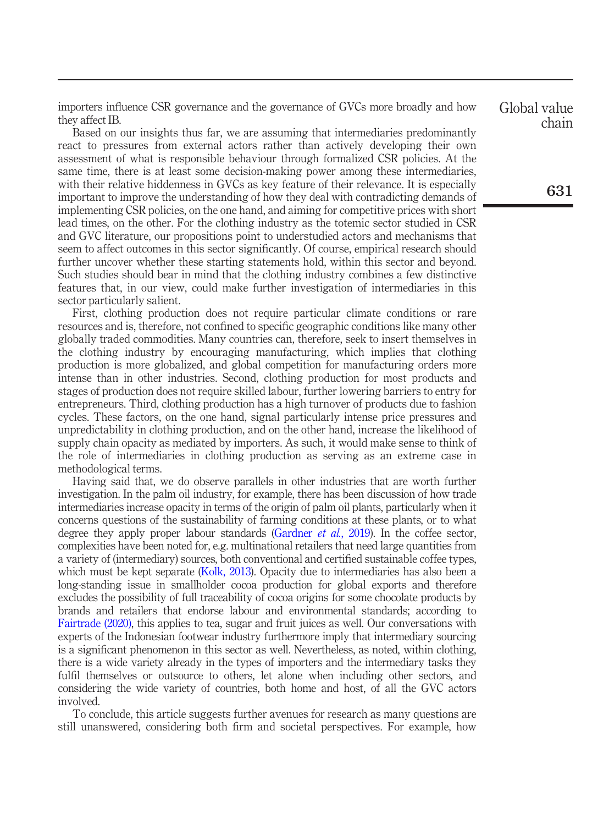importers influence CSR governance and the governance of GVCs more broadly and how they affect IB.

Based on our insights thus far, we are assuming that intermediaries predominantly react to pressures from external actors rather than actively developing their own assessment of what is responsible behaviour through formalized CSR policies. At the same time, there is at least some decision-making power among these intermediaries, with their relative hiddenness in GVCs as key feature of their relevance. It is especially important to improve the understanding of how they deal with contradicting demands of implementing CSR policies, on the one hand, and aiming for competitive prices with short lead times, on the other. For the clothing industry as the totemic sector studied in CSR and GVC literature, our propositions point to understudied actors and mechanisms that seem to affect outcomes in this sector significantly. Of course, empirical research should further uncover whether these starting statements hold, within this sector and beyond. Such studies should bear in mind that the clothing industry combines a few distinctive features that, in our view, could make further investigation of intermediaries in this sector particularly salient.

First, clothing production does not require particular climate conditions or rare resources and is, therefore, not confined to specific geographic conditions like many other globally traded commodities. Many countries can, therefore, seek to insert themselves in the clothing industry by encouraging manufacturing, which implies that clothing production is more globalized, and global competition for manufacturing orders more intense than in other industries. Second, clothing production for most products and stages of production does not require skilled labour, further lowering barriers to entry for entrepreneurs. Third, clothing production has a high turnover of products due to fashion cycles. These factors, on the one hand, signal particularly intense price pressures and unpredictability in clothing production, and on the other hand, increase the likelihood of supply chain opacity as mediated by importers. As such, it would make sense to think of the role of intermediaries in clothing production as serving as an extreme case in methodological terms.

Having said that, we do observe parallels in other industries that are worth further investigation. In the palm oil industry, for example, there has been discussion of how trade intermediaries increase opacity in terms of the origin of palm oil plants, particularly when it concerns questions of the sustainability of farming conditions at these plants, or to what degree they apply proper labour standards [\(Gardner](#page-15-6)  $et$  al., 2019). In the coffee sector, complexities have been noted for, e.g. multinational retailers that need large quantities from a variety of (intermediary) sources, both conventional and certified sustainable coffee types, which must be kept separate [\(Kolk, 2013\)](#page-16-19). Opacity due to intermediaries has also been a long-standing issue in smallholder cocoa production for global exports and therefore excludes the possibility of full traceability of cocoa origins for some chocolate products by brands and retailers that endorse labour and environmental standards; according to [Fairtrade \(2020\)](#page-15-19), this applies to tea, sugar and fruit juices as well. Our conversations with experts of the Indonesian footwear industry furthermore imply that intermediary sourcing is a significant phenomenon in this sector as well. Nevertheless, as noted, within clothing, there is a wide variety already in the types of importers and the intermediary tasks they fulfil themselves or outsource to others, let alone when including other sectors, and considering the wide variety of countries, both home and host, of all the GVC actors involved.

To conclude, this article suggests further avenues for research as many questions are still unanswered, considering both firm and societal perspectives. For example, how Global value chain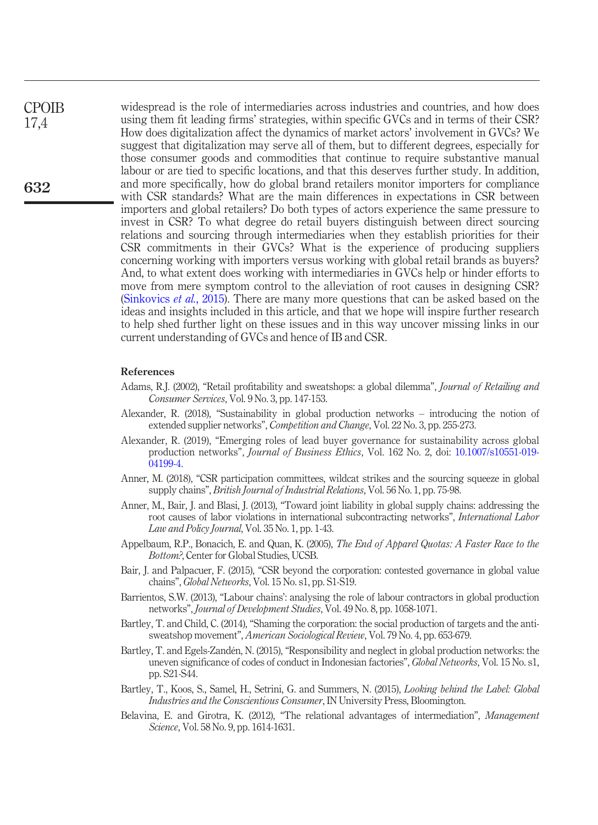widespread is the role of intermediaries across industries and countries, and how does using them fit leading firms' strategies, within specific GVCs and in terms of their CSR? How does digitalization affect the dynamics of market actors' involvement in GVCs? We suggest that digitalization may serve all of them, but to different degrees, especially for those consumer goods and commodities that continue to require substantive manual labour or are tied to specific locations, and that this deserves further study. In addition, and more specifically, how do global brand retailers monitor importers for compliance with CSR standards? What are the main differences in expectations in CSR between importers and global retailers? Do both types of actors experience the same pressure to invest in CSR? To what degree do retail buyers distinguish between direct sourcing relations and sourcing through intermediaries when they establish priorities for their CSR commitments in their GVCs? What is the experience of producing suppliers concerning working with importers versus working with global retail brands as buyers? And, to what extent does working with intermediaries in GVCs help or hinder efforts to move from mere symptom control to the alleviation of root causes in designing CSR? [\(Sinkovics](#page-17-17) et al., 2015). There are many more questions that can be asked based on the ideas and insights included in this article, and that we hope will inspire further research to help shed further light on these issues and in this way uncover missing links in our current understanding of GVCs and hence of IB and CSR. CPOIB 17,4

#### References

- <span id="page-14-7"></span>Adams, R.J. (2002), "Retail profitability and sweatshops: a global dilemma", *Journal of Retailing and* Consumer Services, Vol. 9 No. 3, pp. 147-153.
- <span id="page-14-3"></span>Alexander, R. (2018), "Sustainability in global production networks – introducing the notion of extended supplier networks", Competition and Change, Vol. 22 No. 3, pp. 255-273.
- <span id="page-14-4"></span>Alexander, R. (2019), "Emerging roles of lead buyer governance for sustainability across global production networks", Journal of Business Ethics, Vol. 162 No. 2, doi: [10.1007/s10551-019-](http://dx.doi.org/10.1007/s10551-019-04199-4) [04199-4](http://dx.doi.org/10.1007/s10551-019-04199-4).
- <span id="page-14-1"></span>Anner, M. (2018), "CSR participation committees, wildcat strikes and the sourcing squeeze in global supply chains", British Journal of Industrial Relations, Vol. 56 No. 1, pp. 75-98.
- <span id="page-14-8"></span>Anner, M., Bair, J. and Blasi, J. (2013), "Toward joint liability in global supply chains: addressing the root causes of labor violations in international subcontracting networks", International Labor Law and Policy Journal, Vol. 35 No. 1, pp. 1-43.
- <span id="page-14-10"></span>Appelbaum, R.P., Bonacich, E. and Quan, K. (2005), The End of Apparel Quotas: A Faster Race to the Bottom?, Center for Global Studies, UCSB.
- <span id="page-14-2"></span>Bair, J. and Palpacuer, F. (2015), "CSR beyond the corporation: contested governance in global value chains", Global Networks, Vol. 15 No. s1, pp. S1-S19.
- <span id="page-14-5"></span>Barrientos, S.W. (2013), "Labour chains': analysing the role of labour contractors in global production networks", Journal of Development Studies, Vol. 49 No. 8, pp. 1058-1071.
- <span id="page-14-9"></span>Bartley, T. and Child, C. (2014), "Shaming the corporation: the social production of targets and the antisweatshop movement", American Sociological Review, Vol. 79 No. 4, pp. 653-679.
- <span id="page-14-11"></span>Bartley, T. and Egels-Zandén, N. (2015), "Responsibility and neglect in global production networks: the uneven significance of codes of conduct in Indonesian factories", Global Networks, Vol. 15 No. s1, pp. S21-S44.
- <span id="page-14-0"></span>Bartley, T., Koos, S., Samel, H., Setrini, G. and Summers, N. (2015), Looking behind the Label: Global Industries and the Conscientious Consumer, IN University Press, Bloomington.
- <span id="page-14-6"></span>Belavina, E. and Girotra, K. (2012), "The relational advantages of intermediation", Management Science, Vol. 58 No. 9, pp. 1614-1631.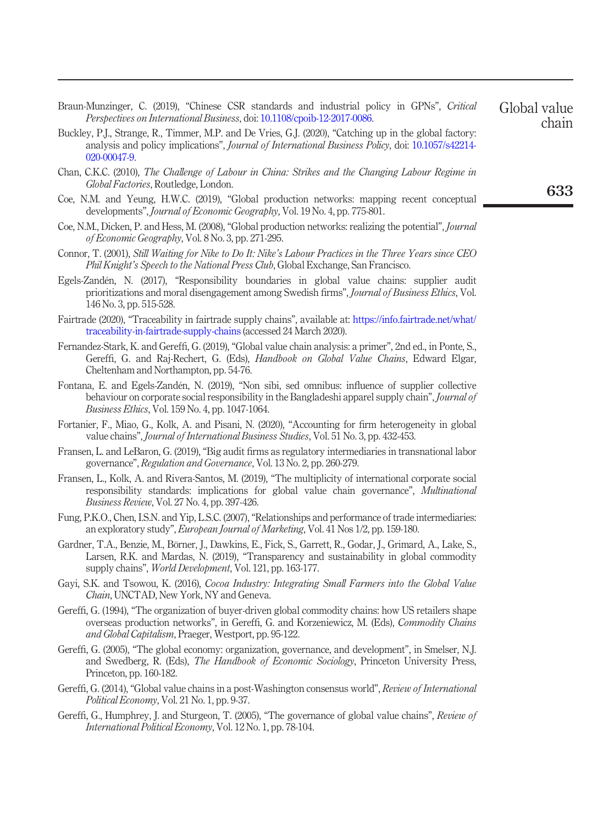<span id="page-15-7"></span>Braun-Munzinger, C. (2019), "Chinese CSR standards and industrial policy in GPNs", Critical Perspectives on International Business, doi: [10.1108/cpoib-12-2017-0086.](http://dx.doi.org/10.1108/cpoib-12-2017-0086) Global value

- <span id="page-15-8"></span>Buckley, P.J., Strange, R., Timmer, M.P. and De Vries, G.J. (2020), "Catching up in the global factory: analysis and policy implications", Journal of International Business Policy, doi: [10.1057/s42214-](http://dx.doi.org/10.1057/s42214-020-00047-9) [020-00047-9.](http://dx.doi.org/10.1057/s42214-020-00047-9)
- <span id="page-15-14"></span>Chan, C.K.C. (2010), The Challenge of Labour in China: Strikes and the Changing Labour Regime in Global Factories, Routledge, London.
- <span id="page-15-10"></span>Coe, N.M. and Yeung, H.W.C. (2019), "Global production networks: mapping recent conceptual developments", *Journal of Economic Geography*, Vol. 19 No. 4, pp. 775-801.
- <span id="page-15-3"></span>Coe, N.M., Dicken, P. and Hess, M. (2008), "Global production networks: realizing the potential", *Journal* of Economic Geography, Vol. 8 No. 3, pp. 271-295.
- <span id="page-15-15"></span>Connor, T. (2001), Still Waiting for Nike to Do It: Nike's Labour Practices in the Three Years since CEO Phil Knight's Speech to the National Press Club, Global Exchange, San Francisco.
- <span id="page-15-18"></span>Egels-Zandén, N. (2017), "Responsibility boundaries in global value chains: supplier audit prioritizations and moral disengagement among Swedish firms", Journal of Business Ethics, Vol. 146 No. 3, pp. 515-528.
- <span id="page-15-19"></span>Fairtrade (2020), "Traceability in fairtrade supply chains", available at: [https://info.fairtrade.net/what/](https://info.fairtrade.net/what/traceability-in-fairtrade-supply-chains) [traceability-in-fairtrade-supply-chains](https://info.fairtrade.net/what/traceability-in-fairtrade-supply-chains) (accessed 24 March 2020).
- <span id="page-15-4"></span>Fernandez-Stark, K. and Gereffi, G. (2019), "Global value chain analysis: a primer", 2nd ed., in Ponte, S., Gereffi, G. and Raj-Rechert, G. (Eds), Handbook on Global Value Chains, Edward Elgar, Cheltenham and Northampton, pp. 54-76.
- <span id="page-15-11"></span>Fontana, E. and Egels-Zandén, N. (2019), "Non sibi, sed omnibus: influence of supplier collective behaviour on corporate social responsibility in the Bangladeshi apparel supply chain", *Journal of* Business Ethics, Vol. 159 No. 4, pp. 1047-1064.
- <span id="page-15-0"></span>Fortanier, F., Miao, G., Kolk, A. and Pisani, N. (2020), "Accounting for firm heterogeneity in global value chains", Journal of International Business Studies, Vol. 51 No. 3, pp. 432-453.
- <span id="page-15-12"></span>Fransen, L. and LeBaron, G. (2019), "Big audit firms as regulatory intermediaries in transnational labor governance", Regulation and Governance, Vol. 13 No. 2, pp. 260-279.
- <span id="page-15-2"></span>Fransen, L., Kolk, A. and Rivera-Santos, M. (2019), "The multiplicity of international corporate social responsibility standards: implications for global value chain governance", Multinational Business Review, Vol. 27 No. 4, pp. 397-426.
- <span id="page-15-13"></span>Fung, P.K.O., Chen, I.S.N. and Yip, L.S.C. (2007), "Relationships and performance of trade intermediaries: an exploratory study", European Journal of Marketing, Vol. 41 Nos 1/2, pp. 159-180.
- <span id="page-15-6"></span>Gardner, T.A., Benzie, M., Börner, J., Dawkins, E., Fick, S., Garrett, R., Godar, J., Grimard, A., Lake, S., Larsen, R.K. and Mardas, N. (2019), "Transparency and sustainability in global commodity supply chains", World Development, Vol. 121, pp. 163-177.
- <span id="page-15-5"></span>Gayi, S.K. and Tsowou, K. (2016), Cocoa Industry: Integrating Small Farmers into the Global Value Chain, UNCTAD, New York, NY and Geneva.
- <span id="page-15-16"></span>Gereffi, G. (1994), "The organization of buyer-driven global commodity chains: how US retailers shape overseas production networks", in Gereffi, G. and Korzeniewicz, M. (Eds), Commodity Chains and Global Capitalism, Praeger, Westport, pp. 95-122.
- <span id="page-15-17"></span>Gereffi, G. (2005), "The global economy: organization, governance, and development", in Smelser, N.J. and Swedberg, R. (Eds), The Handbook of Economic Sociology, Princeton University Press, Princeton, pp. 160-182.
- <span id="page-15-1"></span>Gereffi, G. (2014), "Global value chains in a post-Washington consensus world", Review of International Political Economy, Vol. 21 No. 1, pp. 9-37.
- <span id="page-15-9"></span>Gereffi, G., Humphrey, J. and Sturgeon, T. (2005), "The governance of global value chains", Review of International Political Economy, Vol. 12 No. 1, pp. 78-104.

633

chain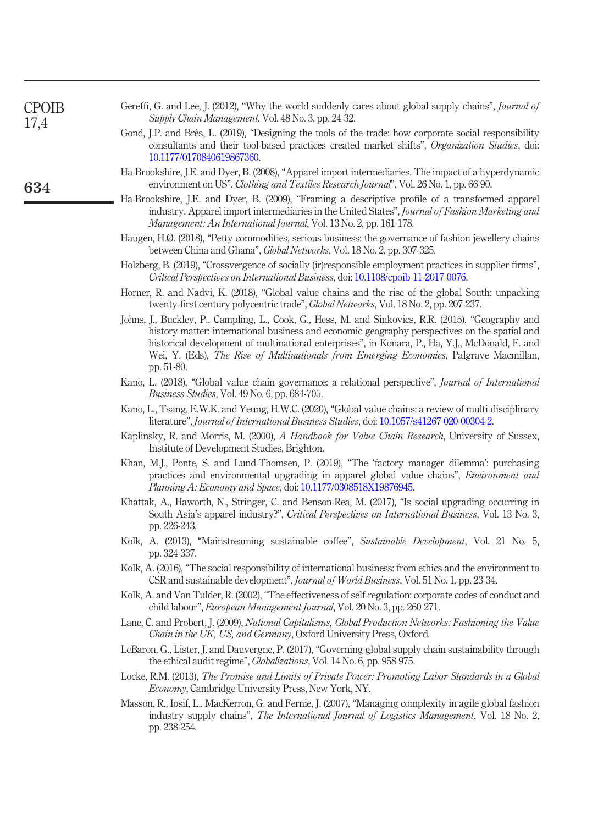<span id="page-16-19"></span><span id="page-16-18"></span><span id="page-16-17"></span><span id="page-16-16"></span><span id="page-16-15"></span><span id="page-16-14"></span><span id="page-16-13"></span><span id="page-16-12"></span><span id="page-16-11"></span><span id="page-16-10"></span><span id="page-16-9"></span><span id="page-16-8"></span><span id="page-16-7"></span><span id="page-16-6"></span><span id="page-16-5"></span><span id="page-16-4"></span><span id="page-16-3"></span><span id="page-16-2"></span><span id="page-16-1"></span><span id="page-16-0"></span>

| <b>CPOIB</b><br>17,4<br>634 | Gereffi, G. and Lee, J. (2012), "Why the world suddenly cares about global supply chains", <i>Journal of</i><br>Supply Chain Management, Vol. 48 No. 3, pp. 24-32.                                                                                                                                                                                                                                                      |
|-----------------------------|-------------------------------------------------------------------------------------------------------------------------------------------------------------------------------------------------------------------------------------------------------------------------------------------------------------------------------------------------------------------------------------------------------------------------|
|                             | Gond, J.P. and Brès, L. (2019), "Designing the tools of the trade: how corporate social responsibility<br>consultants and their tool-based practices created market shifts", Organization Studies, doi:<br>10.1177/0170840619867360.                                                                                                                                                                                    |
|                             | Ha-Brookshire, J.E. and Dyer, B. (2008), "Apparel import intermediaries. The impact of a hyperdynamic<br>environment on US", Clothing and Textiles Research Journal", Vol. 26 No. 1, pp. 66-90.                                                                                                                                                                                                                         |
|                             | Ha-Brookshire, J.E. and Dyer, B. (2009), "Framing a descriptive profile of a transformed apparel<br>industry. Apparel import intermediaries in the United States", Journal of Fashion Marketing and<br>Management: An International Journal, Vol. 13 No. 2, pp. 161-178.                                                                                                                                                |
|                             | Haugen, H.Ø. (2018), "Petty commodities, serious business: the governance of fashion jewellery chains<br>between China and Ghana", <i>Global Networks</i> , Vol. 18 No. 2, pp. 307-325.                                                                                                                                                                                                                                 |
|                             | Holzberg, B. (2019), "Crossvergence of socially (ir) responsible employment practices in supplier firms",<br>Critical Perspectives on International Business, doi: 10.1108/cpoib-11-2017-0076.                                                                                                                                                                                                                          |
|                             | Horner, R. and Nadvi, K. (2018), "Global value chains and the rise of the global South: unpacking<br>twenty-first century polycentric trade", <i>Global Networks</i> , Vol. 18 No. 2, pp. 207-237.                                                                                                                                                                                                                      |
|                             | Johns, J., Buckley, P., Campling, L., Cook, G., Hess, M. and Sinkovics, R.R. (2015), "Geography and<br>history matter: international business and economic geography perspectives on the spatial and<br>historical development of multinational enterprises", in Konara, P., Ha, Y.J., McDonald, F. and<br>Wei, Y. (Eds), <i>The Rise of Multinationals from Emerging Economies</i> , Palgrave Macmillan,<br>pp. 51-80. |
|                             | Kano, L. (2018), "Global value chain governance: a relational perspective", <i>Journal of International</i><br><i>Business Studies, Vol. 49 No. 6, pp. 684-705.</i>                                                                                                                                                                                                                                                     |
|                             | Kano, L., Tsang, E.W.K. and Yeung, H.W.C. (2020), "Global value chains: a review of multi-disciplinary<br>literature", Journal of International Business Studies, doi: 10.1057/s41267-020-00304-2.                                                                                                                                                                                                                      |
|                             | Kaplinsky, R. and Morris, M. (2000), A Handbook for Value Chain Research, University of Sussex,<br>Institute of Development Studies, Brighton.                                                                                                                                                                                                                                                                          |
|                             | Khan, M.J., Ponte, S. and Lund-Thomsen, P. (2019), "The 'factory manager dilemma': purchasing<br>practices and environmental upgrading in apparel global value chains", <i>Environment and</i><br>Planning A: Economy and Space, doi: 10.1177/0308518X19876945.                                                                                                                                                         |
|                             | Khattak, A., Haworth, N., Stringer, C. and Benson-Rea, M. (2017), "Is social upgrading occurring in<br>South Asia's apparel industry?", Critical Perspectives on International Business, Vol. 13 No. 3,<br>pp. 226-243.                                                                                                                                                                                                 |
|                             | Kolk, A. (2013), "Mainstreaming sustainable coffee", Sustainable Development, Vol. 21 No. 5,<br>pp. 324-337.                                                                                                                                                                                                                                                                                                            |
|                             | Kolk, A. (2016), "The social responsibility of international business: from ethics and the environment to<br>CSR and sustainable development", Journal of World Business, Vol. 51 No. 1, pp. 23-34.                                                                                                                                                                                                                     |
|                             | Kolk, A. and Van Tulder, R. (2002), "The effectiveness of self-regulation: corporate codes of conduct and<br>child labour", European Management Journal, Vol. 20 No. 3, pp. 260-271.                                                                                                                                                                                                                                    |
|                             | Lane, C. and Probert, J. (2009), National Capitalisms, Global Production Networks: Fashioning the Value<br>Chain in the UK, US, and Germany, Oxford University Press, Oxford.                                                                                                                                                                                                                                           |
|                             | LeBaron, G., Lister, J. and Dauvergne, P. (2017), "Governing global supply chain sustainability through<br>the ethical audit regime", <i>Globalizations</i> , Vol. 14 No. 6, pp. 958-975.                                                                                                                                                                                                                               |
|                             | Locke, R.M. (2013), The Promise and Limits of Private Power: Promoting Labor Standards in a Global<br>Economy, Cambridge University Press, New York, NY.                                                                                                                                                                                                                                                                |
|                             | Masson, R., Iosif, L., MacKerron, G. and Fernie, J. (2007), "Managing complexity in agile global fashion<br>industry supply chains", <i>The International Journal of Logistics Management</i> , Vol. 18 No. 2,<br>pp. 238-254.                                                                                                                                                                                          |
|                             |                                                                                                                                                                                                                                                                                                                                                                                                                         |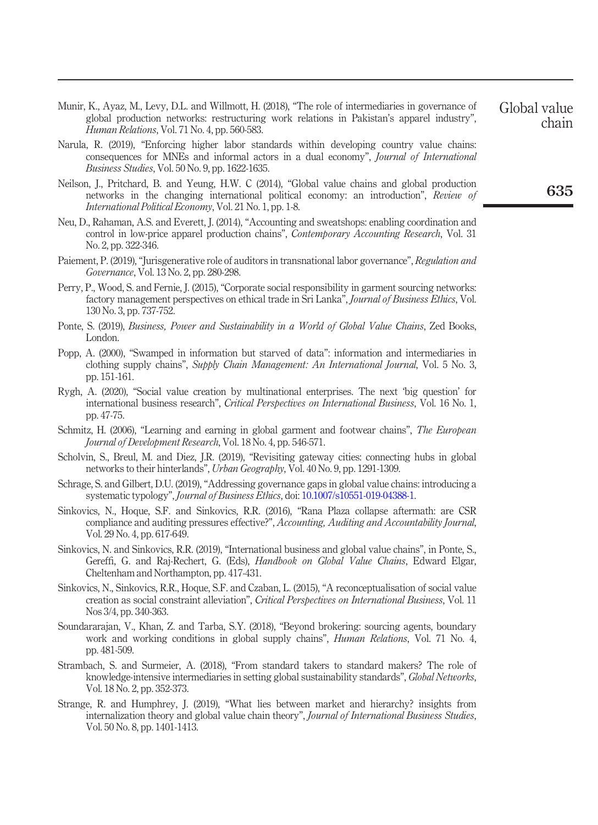- <span id="page-17-9"></span>Munir, K., Ayaz, M., Levy, D.L. and Willmott, H. (2018), "The role of intermediaries in governance of global production networks: restructuring work relations in Pakistan's apparel industry", Human Relations, Vol. 71 No. 4, pp. 560-583.
- <span id="page-17-3"></span>Narula, R. (2019), "Enforcing higher labor standards within developing country value chains: consequences for MNEs and informal actors in a dual economy", Journal of International Business Studies, Vol. 50 No. 9, pp. 1622-1635.
- <span id="page-17-0"></span>Neilson, J., Pritchard, B. and Yeung, H.W. C (2014), "Global value chains and global production networks in the changing international political economy: an introduction", Review of International Political Economy, Vol. 21 No. 1, pp. 1-8.
- <span id="page-17-15"></span>Neu, D., Rahaman, A.S. and Everett, J. (2014), "Accounting and sweatshops: enabling coordination and control in low-price apparel production chains", *Contemporary Accounting Research*, Vol. 31 No. 2, pp. 322-346.
- <span id="page-17-10"></span>Paiement, P. (2019), "Jurisgenerative role of auditors in transnational labor governance", Regulation and Governance, Vol. 13 No. 2, pp. 280-298.
- <span id="page-17-13"></span>Perry, P., Wood, S. and Fernie, J. (2015), "Corporate social responsibility in garment sourcing networks: factory management perspectives on ethical trade in Sri Lanka", Journal of Business Ethics, Vol. 130 No. 3, pp. 737-752.
- <span id="page-17-7"></span>Ponte, S. (2019), Business, Power and Sustainability in a World of Global Value Chains, Zed Books, London.
- <span id="page-17-14"></span>Popp, A. (2000), "Swamped in information but starved of data": information and intermediaries in clothing supply chains", Supply Chain Management: An International Journal, Vol. 5 No. 3, pp. 151-161.
- <span id="page-17-5"></span>Rygh, A. (2020), "Social value creation by multinational enterprises. The next 'big question' for international business research", Critical Perspectives on International Business, Vol. 16 No. 1, pp. 47-75.
- <span id="page-17-6"></span>Schmitz, H. (2006), "Learning and earning in global garment and footwear chains", The European Journal of Development Research, Vol. 18 No. 4, pp. 546-571.
- <span id="page-17-12"></span>Scholvin, S., Breul, M. and Diez, J.R. (2019), "Revisiting gateway cities: connecting hubs in global networks to their hinterlands", Urban Geography, Vol. 40 No. 9, pp. 1291-1309.
- <span id="page-17-4"></span>Schrage, S. and Gilbert, D.U. (2019), "Addressing governance gaps in global value chains: introducing a systematic typology", Journal of Business Ethics, doi: [10.1007/s10551-019-04388-1.](http://dx.doi.org/10.1007/s10551-019-04388-1)
- <span id="page-17-16"></span>Sinkovics, N., Hoque, S.F. and Sinkovics, R.R. (2016), "Rana Plaza collapse aftermath: are CSR compliance and auditing pressures effective?", Accounting, Auditing and Accountability Journal, Vol. 29 No. 4, pp. 617-649.
- <span id="page-17-1"></span>Sinkovics, N. and Sinkovics, R.R. (2019), "International business and global value chains", in Ponte, S., Gereffi, G. and Raj-Rechert, G. (Eds), Handbook on Global Value Chains, Edward Elgar, Cheltenham and Northampton, pp. 417-431.
- <span id="page-17-17"></span>Sinkovics, N., Sinkovics, R.R., Hoque, S.F. and Czaban, L. (2015), "A reconceptualisation of social value creation as social constraint alleviation", Critical Perspectives on International Business, Vol. 11 Nos 3/4, pp. 340-363.
- <span id="page-17-11"></span>Soundararajan, V., Khan, Z. and Tarba, S.Y. (2018), "Beyond brokering: sourcing agents, boundary work and working conditions in global supply chains", *Human Relations*, Vol. 71 No. 4, pp. 481-509.
- <span id="page-17-8"></span>Strambach, S. and Surmeier, A. (2018), "From standard takers to standard makers? The role of knowledge-intensive intermediaries in setting global sustainability standards", Global Networks, Vol. 18 No. 2, pp. 352-373.
- <span id="page-17-2"></span>Strange, R. and Humphrey, J. (2019), "What lies between market and hierarchy? insights from internalization theory and global value chain theory", Journal of International Business Studies, Vol. 50 No. 8, pp. 1401-1413.

chain

Global value